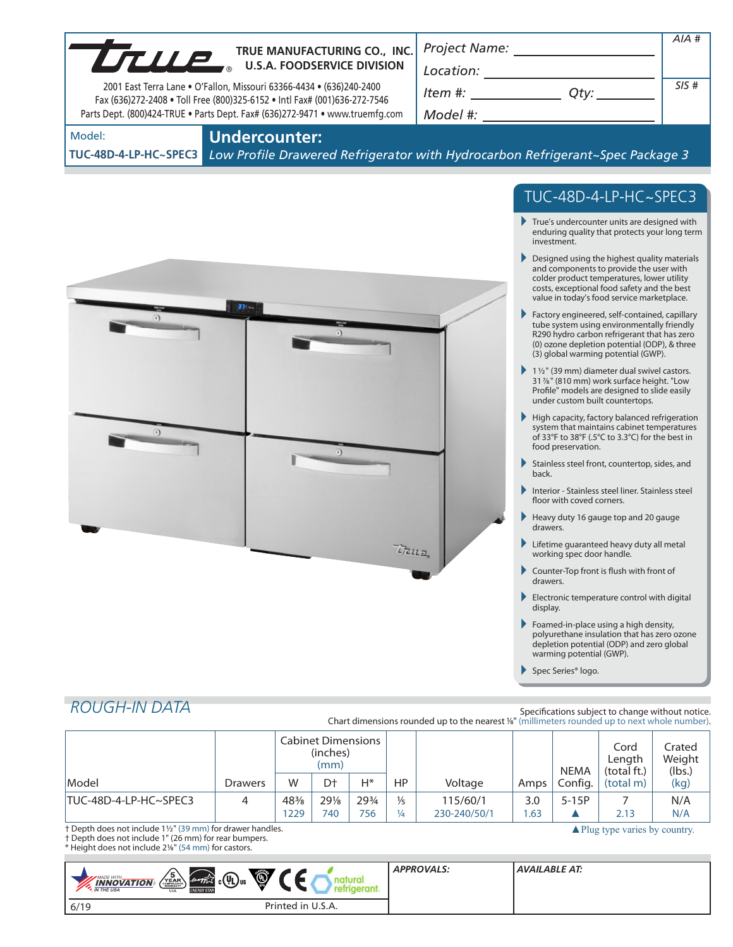|                                                                                                                                                   |                      |                              |                                               |              | <i>Project Name:</i>           |                                                                                                                                                                                                                                                                                                                                                                                             |                |                                | AIA #                                                                                                                                                                                                                              |                                                  |
|---------------------------------------------------------------------------------------------------------------------------------------------------|----------------------|------------------------------|-----------------------------------------------|--------------|--------------------------------|---------------------------------------------------------------------------------------------------------------------------------------------------------------------------------------------------------------------------------------------------------------------------------------------------------------------------------------------------------------------------------------------|----------------|--------------------------------|------------------------------------------------------------------------------------------------------------------------------------------------------------------------------------------------------------------------------------|--------------------------------------------------|
|                                                                                                                                                   |                      | TRUE MANUFACTURING CO., INC. |                                               |              |                                | $\begin{picture}(150,10) \put(0,0){\dashbox{0.5}(10,0){ }} \put(15,0){\circle{10}} \put(15,0){\circle{10}} \put(15,0){\circle{10}} \put(15,0){\circle{10}} \put(15,0){\circle{10}} \put(15,0){\circle{10}} \put(15,0){\circle{10}} \put(15,0){\circle{10}} \put(15,0){\circle{10}} \put(15,0){\circle{10}} \put(15,0){\circle{10}} \put(15,0){\circle{10}} \put(15,0){\circle{10}} \put(15$ |                |                                |                                                                                                                                                                                                                                    |                                                  |
| 2001 East Terra Lane . O'Fallon, Missouri 63366-4434 . (636)240-2400<br>Fax (636)272-2408 . Toll Free (800)325-6152 . Intl Fax# (001)636-272-7546 |                      |                              |                                               |              |                                |                                                                                                                                                                                                                                                                                                                                                                                             |                |                                |                                                                                                                                                                                                                                    | SIS#                                             |
| Parts Dept. (800)424-TRUE . Parts Dept. Fax# (636)272-9471 . www.truemfg.com                                                                      |                      |                              |                                               |              |                                |                                                                                                                                                                                                                                                                                                                                                                                             |                |                                |                                                                                                                                                                                                                                    |                                                  |
| Model:<br>TUC-48D-4-LP-HC~SPEC3                                                                                                                   | <b>Undercounter:</b> |                              |                                               |              |                                | Low Profile Drawered Refrigerator with Hydrocarbon Refrigerant~Spec Package 3                                                                                                                                                                                                                                                                                                               |                |                                |                                                                                                                                                                                                                                    |                                                  |
|                                                                                                                                                   |                      |                              |                                               |              |                                |                                                                                                                                                                                                                                                                                                                                                                                             |                |                                | TUC-48D-4-LP-HC~SPEC3                                                                                                                                                                                                              |                                                  |
|                                                                                                                                                   |                      |                              |                                               |              |                                |                                                                                                                                                                                                                                                                                                                                                                                             |                | investment.                    | True's undercounter units are designed with<br>enduring quality that protects your long term                                                                                                                                       |                                                  |
|                                                                                                                                                   |                      |                              |                                               |              |                                |                                                                                                                                                                                                                                                                                                                                                                                             |                |                                | Designed using the highest quality materials<br>and components to provide the user with<br>colder product temperatures, lower utility<br>costs, exceptional food safety and the best<br>value in today's food service marketplace. |                                                  |
|                                                                                                                                                   | $37 -$               |                              |                                               |              |                                |                                                                                                                                                                                                                                                                                                                                                                                             |                |                                | Factory engineered, self-contained, capillary<br>tube system using environmentally friendly<br>R290 hydro carbon refrigerant that has zero<br>(0) ozone depletion potential (ODP), & three<br>(3) global warming potential (GWP).  |                                                  |
|                                                                                                                                                   |                      |                              |                                               |              |                                |                                                                                                                                                                                                                                                                                                                                                                                             |                |                                | $\blacktriangleright$ 1 1/ <sub>2</sub> " (39 mm) diameter dual swivel castors.<br>31%" (810 mm) work surface height. "Low<br>Profile" models are designed to slide easily<br>under custom built countertops.                      |                                                  |
|                                                                                                                                                   |                      |                              |                                               |              |                                |                                                                                                                                                                                                                                                                                                                                                                                             |                | food preservation.             | $\blacktriangleright$ High capacity, factory balanced refrigeration<br>system that maintains cabinet temperatures<br>of 33°F to 38°F (.5°C to 3.3°C) for the best in                                                               |                                                  |
|                                                                                                                                                   |                      |                              |                                               |              |                                |                                                                                                                                                                                                                                                                                                                                                                                             | Þ.<br>back.    |                                | Stainless steel front, countertop, sides, and                                                                                                                                                                                      |                                                  |
|                                                                                                                                                   |                      |                              |                                               |              |                                |                                                                                                                                                                                                                                                                                                                                                                                             |                | floor with coved corners.      | Interior - Stainless steel liner. Stainless steel                                                                                                                                                                                  |                                                  |
|                                                                                                                                                   |                      |                              |                                               |              |                                |                                                                                                                                                                                                                                                                                                                                                                                             | drawers.       |                                | Heavy duty 16 gauge top and 20 gauge                                                                                                                                                                                               |                                                  |
|                                                                                                                                                   |                      |                              |                                               |              | $Lz_{llz}$                     |                                                                                                                                                                                                                                                                                                                                                                                             |                | working spec door handle.      | Lifetime quaranteed heavy duty all metal                                                                                                                                                                                           |                                                  |
|                                                                                                                                                   |                      |                              |                                               |              |                                |                                                                                                                                                                                                                                                                                                                                                                                             | drawers.       |                                | Counter-Top front is flush with front of                                                                                                                                                                                           |                                                  |
|                                                                                                                                                   |                      |                              |                                               |              |                                |                                                                                                                                                                                                                                                                                                                                                                                             | Þ.<br>display. |                                | Electronic temperature control with digital                                                                                                                                                                                        |                                                  |
|                                                                                                                                                   |                      |                              |                                               |              |                                |                                                                                                                                                                                                                                                                                                                                                                                             | Þ.             | warming potential (GWP).       | Foamed-in-place using a high density,<br>polyurethane insulation that has zero ozone<br>depletion potential (ODP) and zero global                                                                                                  |                                                  |
|                                                                                                                                                   |                      |                              |                                               |              |                                |                                                                                                                                                                                                                                                                                                                                                                                             |                | Spec Series <sup>®</sup> logo. |                                                                                                                                                                                                                                    |                                                  |
| <b>ROUGH-IN DATA</b>                                                                                                                              |                      |                              |                                               |              |                                |                                                                                                                                                                                                                                                                                                                                                                                             |                |                                |                                                                                                                                                                                                                                    |                                                  |
|                                                                                                                                                   |                      |                              |                                               |              |                                | Chart dimensions rounded up to the nearest %" (millimeters rounded up to next whole number).                                                                                                                                                                                                                                                                                                |                |                                |                                                                                                                                                                                                                                    | Specifications subject to change without notice. |
|                                                                                                                                                   |                      |                              | <b>Cabinet Dimensions</b><br>(inches)<br>(mm) |              |                                |                                                                                                                                                                                                                                                                                                                                                                                             |                |                                | Cord<br>Length                                                                                                                                                                                                                     | Crated<br>Weight                                 |
| Model                                                                                                                                             | <b>Drawers</b>       | W                            | D <sup>+</sup>                                | $H^*$        | HP                             | Voltage                                                                                                                                                                                                                                                                                                                                                                                     | Amps           | <b>NEMA</b><br>Config.         | (total ft.)<br>(total m)                                                                                                                                                                                                           | (lbs.)<br>(kg)                                   |
| TUC-48D-4-LP-HC~SPEC3                                                                                                                             | 4                    | 48%<br>1229                  | 291/8<br>740                                  | 293/4<br>756 | $\frac{1}{5}$<br>$\frac{1}{4}$ | 115/60/1<br>230-240/50/1                                                                                                                                                                                                                                                                                                                                                                    | 3.0<br>1.63    | $5-15P$<br>▲                   | 7<br>2.13                                                                                                                                                                                                                          | N/A<br>N/A                                       |

† Depth does not include 11/2" (39 mm) for drawer handles.

† Depth does not include 1" (26 mm) for rear bumpers.

\* Height does not include 21/8" (54 mm) for castors. п

| Û<br>$\left\langle \nabla_{\text{CMBHESSON}}^{\text{VEAR}} \nabla_{\text{VMBHESSON}}^{\text{S}} \nabla_{\text{VMBHSE}}^{\text{S}} \nabla_{\text{VMBHSE}}^{\text{S}} \nabla_{\text{VH$<br>$_{c}(\Psi_{L})_{us}$<br>energy<br><b>MADE WITH_</b><br><b>INNOVATION</b><br><b>N</b> THE USA<br><b>ENERGY STAR</b><br><b>USA</b> | <b>APPROVALS:</b> | <b>AVAILABLE AT:</b> |
|----------------------------------------------------------------------------------------------------------------------------------------------------------------------------------------------------------------------------------------------------------------------------------------------------------------------------|-------------------|----------------------|
| 1152<br>Printed in<br>6/19<br>0. <i>3</i> .A.                                                                                                                                                                                                                                                                              |                   |                      |

▲ Plug type varies by country.